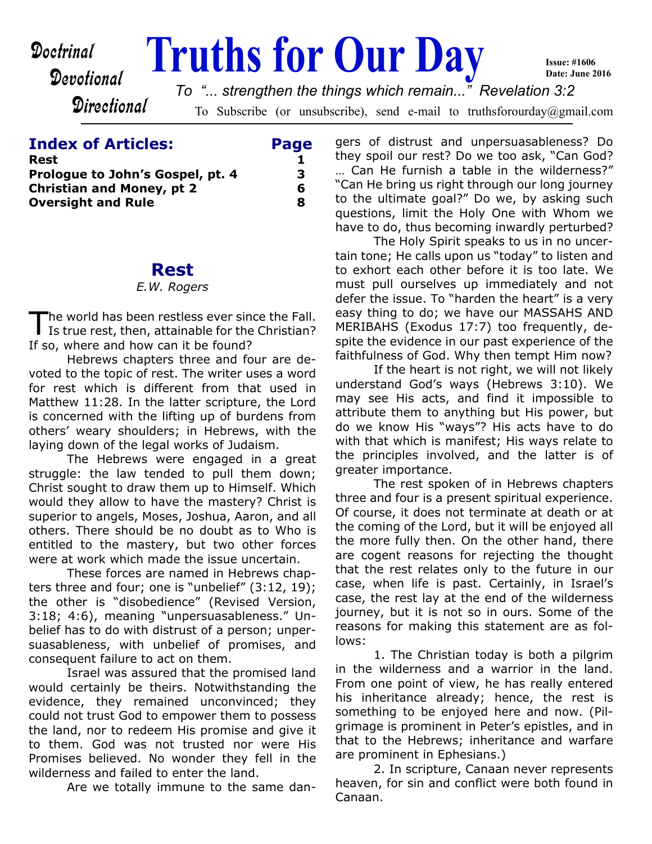# **Doctrinal** Truths for Our Day

**Issue: #1606 Date: June 2016**

**Directional** 

Devotional

To Subscribe (or unsubscribe), send e-mail to truthsforourday@gmail.com *To "... strengthen the things which remain..." Revelation 3:2*

| <b>Index of Articles:</b>        | Page |
|----------------------------------|------|
| Rest                             |      |
| Prologue to John's Gospel, pt. 4 | З.   |
| <b>Christian and Money, pt 2</b> | 6    |
| <b>Oversight and Rule</b>        | Я    |
|                                  |      |

## **Rest**

#### *E.W. Rogers*

The world has been restless ever since the Fall.<br>Is true rest, then, attainable for the Christian? he world has been restless ever since the Fall. If so, where and how can it be found?

 Hebrews chapters three and four are devoted to the topic of rest. The writer uses a word for rest which is different from that used in Matthew 11:28. In the latter scripture, the Lord is concerned with the lifting up of burdens from others' weary shoulders; in Hebrews, with the laying down of the legal works of Judaism.

 The Hebrews were engaged in a great struggle: the law tended to pull them down; Christ sought to draw them up to Himself. Which would they allow to have the mastery? Christ is superior to angels, Moses, Joshua, Aaron, and all others. There should be no doubt as to Who is entitled to the mastery, but two other forces were at work which made the issue uncertain.

 These forces are named in Hebrews chapters three and four; one is "unbelief" (3:12, 19); the other is "disobedience" (Revised Version, 3:18; 4:6), meaning "unpersuasableness." Unbelief has to do with distrust of a person; unpersuasableness, with unbelief of promises, and consequent failure to act on them.

 Israel was assured that the promised land would certainly be theirs. Notwithstanding the evidence, they remained unconvinced; they could not trust God to empower them to possess the land, nor to redeem His promise and give it to them. God was not trusted nor were His Promises believed. No wonder they fell in the wilderness and failed to enter the land.

Are we totally immune to the same dan-

gers of distrust and unpersuasableness? Do they spoil our rest? Do we too ask, "Can God? … Can He furnish a table in the wilderness?" "Can He bring us right through our long journey to the ultimate goal?" Do we, by asking such questions, limit the Holy One with Whom we have to do, thus becoming inwardly perturbed?

 The Holy Spirit speaks to us in no uncertain tone; He calls upon us "today" to listen and to exhort each other before it is too late. We must pull ourselves up immediately and not defer the issue. To "harden the heart" is a very easy thing to do; we have our MASSAHS AND MERIBAHS (Exodus 17:7) too frequently, despite the evidence in our past experience of the faithfulness of God. Why then tempt Him now?

 If the heart is not right, we will not likely understand God's ways (Hebrews 3:10). We may see His acts, and find it impossible to attribute them to anything but His power, but do we know His "ways"? His acts have to do with that which is manifest; His ways relate to the principles involved, and the latter is of greater importance.

 The rest spoken of in Hebrews chapters three and four is a present spiritual experience. Of course, it does not terminate at death or at the coming of the Lord, but it will be enjoyed all the more fully then. On the other hand, there are cogent reasons for rejecting the thought that the rest relates only to the future in our case, when life is past. Certainly, in Israel's case, the rest lay at the end of the wilderness journey, but it is not so in ours. Some of the reasons for making this statement are as follows:

1. The Christian today is both a pilgrim in the wilderness and a warrior in the land. From one point of view, he has really entered his inheritance already; hence, the rest is something to be enjoyed here and now. (Pilgrimage is prominent in Peter's epistles, and in that to the Hebrews; inheritance and warfare are prominent in Ephesians.)

2. In scripture, Canaan never represents heaven, for sin and conflict were both found in Canaan.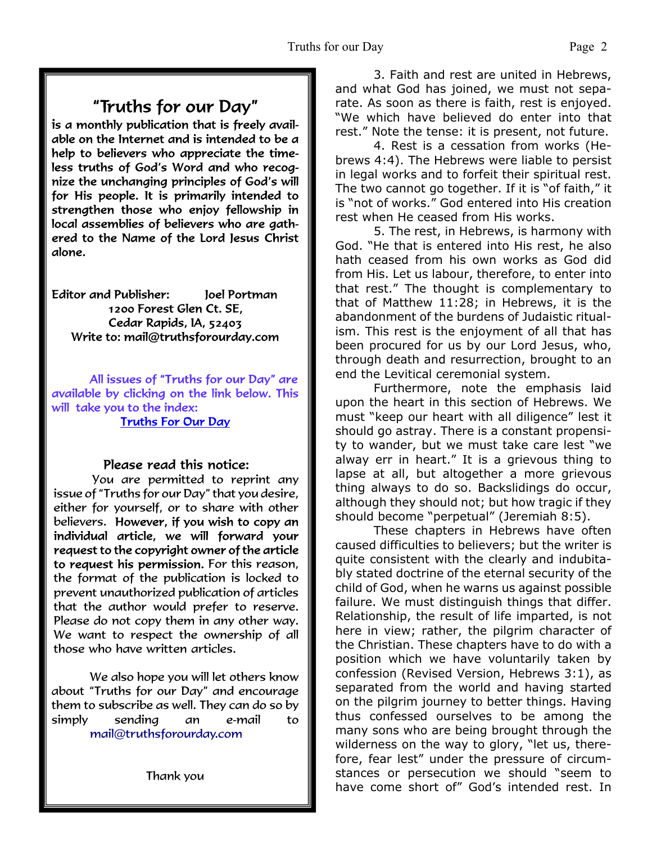# "Truths for our Day"

is a monthly publication that is freely available on the Internet and is intended to be a help to believers who appreciate the timeless truths of God's Word and who recognize the unchanging principles of God's will for His people. It is primarily intended to strengthen those who enjoy fellowship in local assemblies of believers who are gathered to the Name of the Lord Jesus Christ alone.

**Editor and Publisher:** Joel Portman 1200 Forest Glen Ct. SE. Cedar Rapids, IA, 52403 Write to: mail@truthsforourday.com

All issues of "Truths for our Day" are available by clicking on the link below. This will take you to the index: **Truths For Our Day** 

## Please read this notice:

You are permitted to reprint any issue of "Truths for our Day" that you desire, either for yourself, or to share with other believers. However, if you wish to copy an individual article, we will forward your request to the copyright owner of the article to request his permission. For this reason, the format of the publication is locked to prevent unauthorized publication of articles that the author would prefer to reserve. Please do not copy them in any other way. We want to respect the ownership of all those who have written articles.

 We also hope you will let others know about "Truths for our Day" and encourage them to subscribe as well. They can do so by simply sending an e-mail to mail@truthsforourday.com

 3. Faith and rest are united in Hebrews, and what God has joined, we must not separate. As soon as there is faith, rest is enjoyed. "We which have believed do enter into that rest." Note the tense: it is present, not future.

 4. Rest is a cessation from works (Hebrews 4:4). The Hebrews were liable to persist in legal works and to forfeit their spiritual rest. The two cannot go together. If it is "of faith," it is "not of works." God entered into His creation rest when He ceased from His works.

 5. The rest, in Hebrews, is harmony with God. "He that is entered into His rest, he also hath ceased from his own works as God did from His. Let us labour, therefore, to enter into that rest." The thought is complementary to that of Matthew 11:28; in Hebrews, it is the abandonment of the burdens of Judaistic ritualism. This rest is the enjoyment of all that has been procured for us by our Lord Jesus, who, through death and resurrection, brought to an end the Levitical ceremonial system.

 Furthermore, note the emphasis laid upon the heart in this section of Hebrews. We must "keep our heart with all diligence" lest it should go astray. There is a constant propensity to wander, but we must take care lest "we alway err in heart." It is a grievous thing to lapse at all, but altogether a more grievous thing always to do so. Backslidings do occur, although they should not; but how tragic if they should become "perpetual" (Jeremiah 8:5).

 These chapters in Hebrews have often caused difficulties to believers; but the writer is quite consistent with the clearly and indubitably stated doctrine of the eternal security of the child of God, when he warns us against possible failure. We must distinguish things that differ. Relationship, the result of life imparted, is not here in view; rather, the pilgrim character of the Christian. These chapters have to do with a position which we have voluntarily taken by confession (Revised Version, Hebrews 3:1), as separated from the world and having started on the pilgrim journey to better things. Having thus confessed ourselves to be among the many sons who are being brought through the wilderness on the way to glory, "let us, therefore, fear lest" under the pressure of circumstances or persecution we should "seem to have come short of" God's intended rest. In

Thank you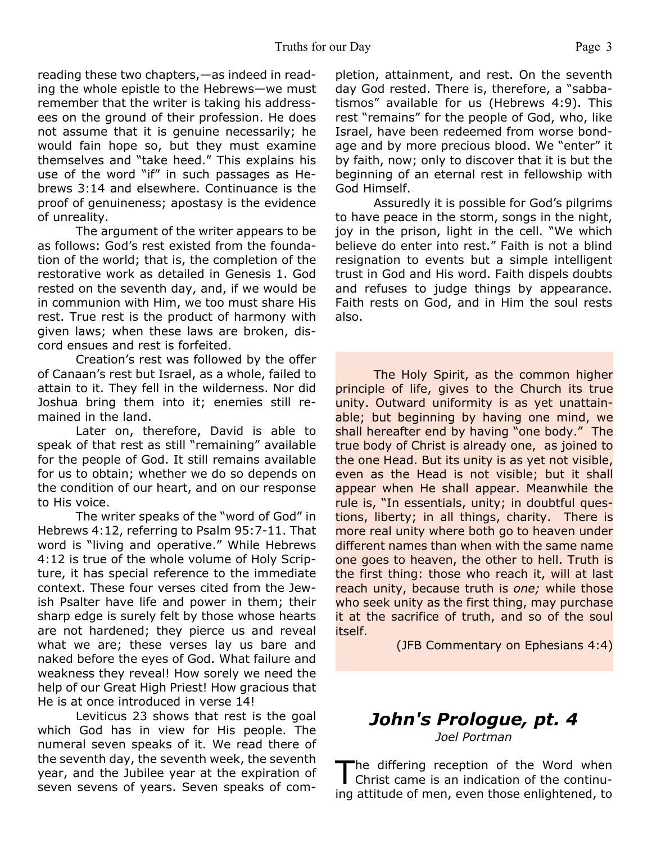#### Truths for our Day Page 3

reading these two chapters,—as indeed in reading the whole epistle to the Hebrews—we must remember that the writer is taking his addressees on the ground of their profession. He does not assume that it is genuine necessarily; he would fain hope so, but they must examine themselves and "take heed." This explains his use of the word "if" in such passages as Hebrews 3:14 and elsewhere. Continuance is the proof of genuineness; apostasy is the evidence of unreality.

 The argument of the writer appears to be as follows: God's rest existed from the foundation of the world; that is, the completion of the restorative work as detailed in Genesis 1. God rested on the seventh day, and, if we would be in communion with Him, we too must share His rest. True rest is the product of harmony with given laws; when these laws are broken, discord ensues and rest is forfeited.

 Creation's rest was followed by the offer of Canaan's rest but Israel, as a whole, failed to attain to it. They fell in the wilderness. Nor did Joshua bring them into it; enemies still remained in the land.

 Later on, therefore, David is able to speak of that rest as still "remaining" available for the people of God. It still remains available for us to obtain; whether we do so depends on the condition of our heart, and on our response to His voice.

 The writer speaks of the "word of God" in Hebrews 4:12, referring to Psalm 95:7-11. That word is "living and operative." While Hebrews 4:12 is true of the whole volume of Holy Scripture, it has special reference to the immediate context. These four verses cited from the Jewish Psalter have life and power in them; their sharp edge is surely felt by those whose hearts are not hardened; they pierce us and reveal what we are; these verses lay us bare and naked before the eyes of God. What failure and weakness they reveal! How sorely we need the help of our Great High Priest! How gracious that He is at once introduced in verse 14!

 Leviticus 23 shows that rest is the goal which God has in view for His people. The numeral seven speaks of it. We read there of the seventh day, the seventh week, the seventh year, and the Jubilee year at the expiration of seven sevens of years. Seven speaks of completion, attainment, and rest. On the seventh day God rested. There is, therefore, a "sabbatismos" available for us (Hebrews 4:9). This rest "remains" for the people of God, who, like Israel, have been redeemed from worse bondage and by more precious blood. We "enter" it by faith, now; only to discover that it is but the beginning of an eternal rest in fellowship with God Himself.

 Assuredly it is possible for God's pilgrims to have peace in the storm, songs in the night, joy in the prison, light in the cell. "We which believe do enter into rest." Faith is not a blind resignation to events but a simple intelligent trust in God and His word. Faith dispels doubts and refuses to judge things by appearance. Faith rests on God, and in Him the soul rests also.

The Holy Spirit, as the common higher principle of life, gives to the Church its true unity. Outward uniformity is as yet unattainable; but beginning by having one mind, we shall hereafter end by having "one body." The true body of Christ is already one, as joined to the one Head. But its unity is as yet not visible, even as the Head is not visible; but it shall appear when He shall appear. Meanwhile the rule is, "In essentials, unity; in doubtful questions, liberty; in all things, charity. There is more real unity where both go to heaven under different names than when with the same name one goes to heaven, the other to hell. Truth is the first thing: those who reach it, will at last reach unity, because truth is *one;* while those who seek unity as the first thing, may purchase it at the sacrifice of truth, and so of the soul itself.

(JFB Commentary on Ephesians 4:4)

### *John's Prologue, pt. 4 Joel Portman*

The differing reception of the Word when<br>Christ came is an indication of the continuhe differing reception of the Word when ing attitude of men, even those enlightened, to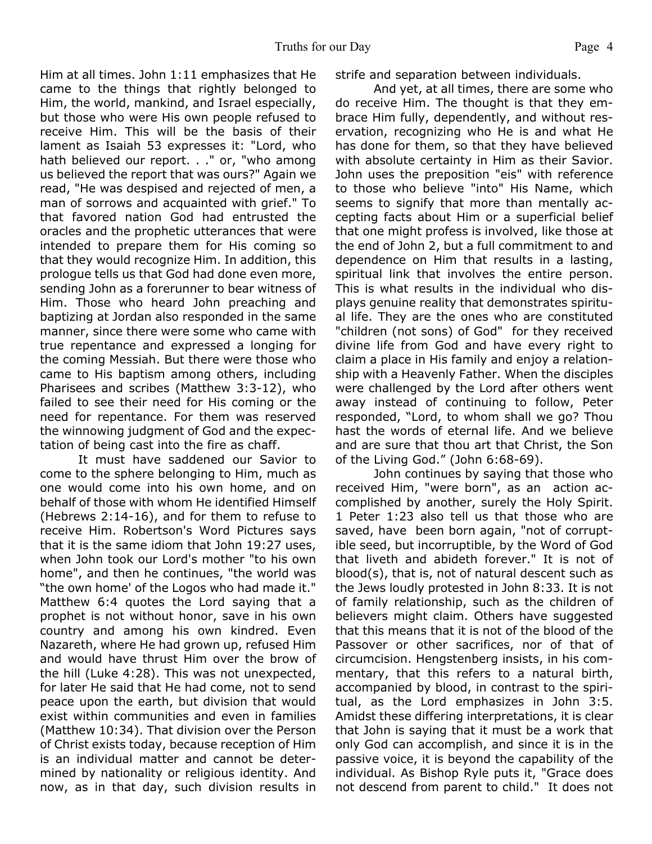Him at all times. John 1:11 emphasizes that He came to the things that rightly belonged to Him, the world, mankind, and Israel especially, but those who were His own people refused to receive Him. This will be the basis of their lament as Isaiah 53 expresses it: "Lord, who hath believed our report. . ." or, "who among us believed the report that was ours?" Again we read, "He was despised and rejected of men, a man of sorrows and acquainted with grief." To that favored nation God had entrusted the oracles and the prophetic utterances that were intended to prepare them for His coming so that they would recognize Him. In addition, this prologue tells us that God had done even more, sending John as a forerunner to bear witness of Him. Those who heard John preaching and baptizing at Jordan also responded in the same manner, since there were some who came with true repentance and expressed a longing for the coming Messiah. But there were those who came to His baptism among others, including Pharisees and scribes (Matthew 3:3-12), who failed to see their need for His coming or the need for repentance. For them was reserved the winnowing judgment of God and the expectation of being cast into the fire as chaff.

 It must have saddened our Savior to come to the sphere belonging to Him, much as one would come into his own home, and on behalf of those with whom He identified Himself (Hebrews 2:14-16), and for them to refuse to receive Him. Robertson's Word Pictures says that it is the same idiom that John 19:27 uses, when John took our Lord's mother "to his own home", and then he continues, "the world was "the own home' of the Logos who had made it." Matthew 6:4 quotes the Lord saying that a prophet is not without honor, save in his own country and among his own kindred. Even Nazareth, where He had grown up, refused Him and would have thrust Him over the brow of the hill (Luke 4:28). This was not unexpected, for later He said that He had come, not to send peace upon the earth, but division that would exist within communities and even in families (Matthew 10:34). That division over the Person of Christ exists today, because reception of Him is an individual matter and cannot be determined by nationality or religious identity. And now, as in that day, such division results in

strife and separation between individuals.

 And yet, at all times, there are some who do receive Him. The thought is that they embrace Him fully, dependently, and without reservation, recognizing who He is and what He has done for them, so that they have believed with absolute certainty in Him as their Savior. John uses the preposition "eis" with reference to those who believe "into" His Name, which seems to signify that more than mentally accepting facts about Him or a superficial belief that one might profess is involved, like those at the end of John 2, but a full commitment to and dependence on Him that results in a lasting, spiritual link that involves the entire person. This is what results in the individual who displays genuine reality that demonstrates spiritual life. They are the ones who are constituted "children (not sons) of God" for they received divine life from God and have every right to claim a place in His family and enjoy a relationship with a Heavenly Father. When the disciples were challenged by the Lord after others went away instead of continuing to follow, Peter responded, "Lord, to whom shall we go? Thou hast the words of eternal life. And we believe and are sure that thou art that Christ, the Son of the Living God." (John 6:68-69).

 John continues by saying that those who received Him, "were born", as an action accomplished by another, surely the Holy Spirit. 1 Peter 1:23 also tell us that those who are saved, have been born again, "not of corruptible seed, but incorruptible, by the Word of God that liveth and abideth forever." It is not of blood(s), that is, not of natural descent such as the Jews loudly protested in John 8:33. It is not of family relationship, such as the children of believers might claim. Others have suggested that this means that it is not of the blood of the Passover or other sacrifices, nor of that of circumcision. Hengstenberg insists, in his commentary, that this refers to a natural birth, accompanied by blood, in contrast to the spiritual, as the Lord emphasizes in John 3:5. Amidst these differing interpretations, it is clear that John is saying that it must be a work that only God can accomplish, and since it is in the passive voice, it is beyond the capability of the individual. As Bishop Ryle puts it, "Grace does not descend from parent to child." It does not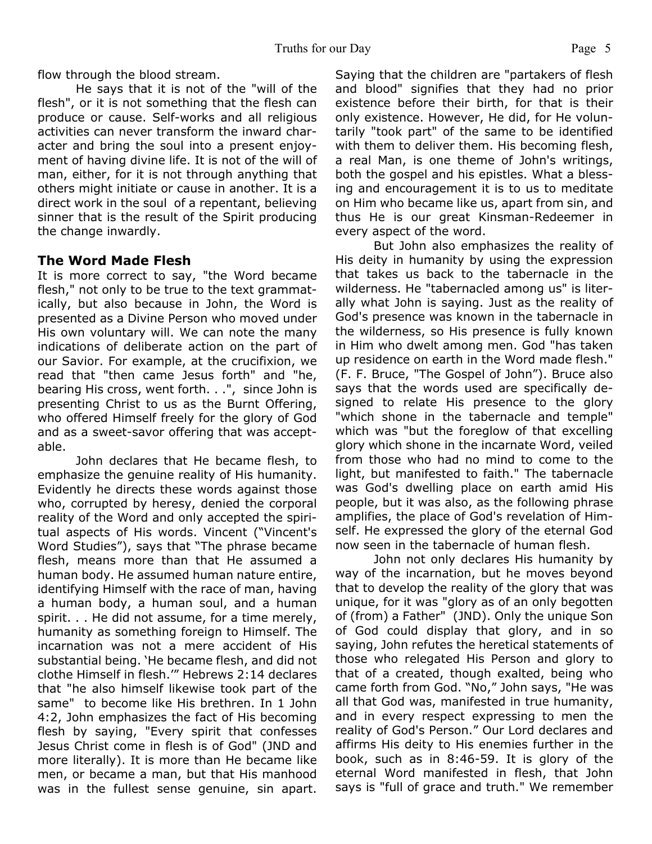flow through the blood stream.

 He says that it is not of the "will of the flesh", or it is not something that the flesh can produce or cause. Self-works and all religious activities can never transform the inward character and bring the soul into a present enjoyment of having divine life. It is not of the will of man, either, for it is not through anything that others might initiate or cause in another. It is a direct work in the soul of a repentant, believing sinner that is the result of the Spirit producing the change inwardly.

### **The Word Made Flesh**

It is more correct to say, "the Word became flesh," not only to be true to the text grammatically, but also because in John, the Word is presented as a Divine Person who moved under His own voluntary will. We can note the many indications of deliberate action on the part of our Savior. For example, at the crucifixion, we read that "then came Jesus forth" and "he, bearing His cross, went forth. . .", since John is presenting Christ to us as the Burnt Offering, who offered Himself freely for the glory of God and as a sweet-savor offering that was acceptable.

 John declares that He became flesh, to emphasize the genuine reality of His humanity. Evidently he directs these words against those who, corrupted by heresy, denied the corporal reality of the Word and only accepted the spiritual aspects of His words. Vincent ("Vincent's Word Studies"), says that "The phrase became flesh, means more than that He assumed a human body. He assumed human nature entire, identifying Himself with the race of man, having a human body, a human soul, and a human spirit. . . He did not assume, for a time merely, humanity as something foreign to Himself. The incarnation was not a mere accident of His substantial being. 'He became flesh, and did not clothe Himself in flesh.'" Hebrews 2:14 declares that "he also himself likewise took part of the same" to become like His brethren. In 1 John 4:2, John emphasizes the fact of His becoming flesh by saying, "Every spirit that confesses Jesus Christ come in flesh is of God" (JND and more literally). It is more than He became like men, or became a man, but that His manhood was in the fullest sense genuine, sin apart.

Saying that the children are "partakers of flesh and blood" signifies that they had no prior existence before their birth, for that is their only existence. However, He did, for He voluntarily "took part" of the same to be identified with them to deliver them. His becoming flesh, a real Man, is one theme of John's writings, both the gospel and his epistles. What a blessing and encouragement it is to us to meditate on Him who became like us, apart from sin, and thus He is our great Kinsman-Redeemer in every aspect of the word.

 But John also emphasizes the reality of His deity in humanity by using the expression that takes us back to the tabernacle in the wilderness. He "tabernacled among us" is literally what John is saying. Just as the reality of God's presence was known in the tabernacle in the wilderness, so His presence is fully known in Him who dwelt among men. God "has taken up residence on earth in the Word made flesh." (F. F. Bruce, "The Gospel of John"). Bruce also says that the words used are specifically designed to relate His presence to the glory "which shone in the tabernacle and temple" which was "but the foreglow of that excelling glory which shone in the incarnate Word, veiled from those who had no mind to come to the light, but manifested to faith." The tabernacle was God's dwelling place on earth amid His people, but it was also, as the following phrase amplifies, the place of God's revelation of Himself. He expressed the glory of the eternal God now seen in the tabernacle of human flesh.

 John not only declares His humanity by way of the incarnation, but he moves beyond that to develop the reality of the glory that was unique, for it was "glory as of an only begotten of (from) a Father" (JND). Only the unique Son of God could display that glory, and in so saying, John refutes the heretical statements of those who relegated His Person and glory to that of a created, though exalted, being who came forth from God. "No," John says, "He was all that God was, manifested in true humanity, and in every respect expressing to men the reality of God's Person." Our Lord declares and affirms His deity to His enemies further in the book, such as in 8:46-59. It is glory of the eternal Word manifested in flesh, that John says is "full of grace and truth." We remember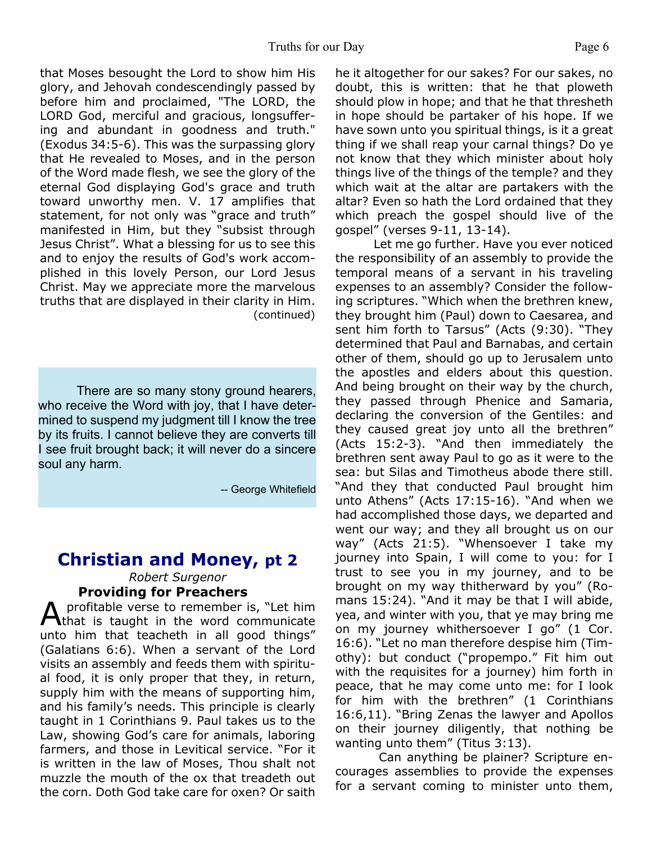that Moses besought the Lord to show him His glory, and Jehovah condescendingly passed by before him and proclaimed, "The LORD, the LORD God, merciful and gracious, longsuffering and abundant in goodness and truth." (Exodus 34:5-6). This was the surpassing glory that He revealed to Moses, and in the person of the Word made flesh, we see the glory of the eternal God displaying God's grace and truth toward unworthy men. V. 17 amplifies that statement, for not only was "grace and truth" manifested in Him, but they "subsist through Jesus Christ". What a blessing for us to see this and to enjoy the results of God's work accomplished in this lovely Person, our Lord Jesus Christ. May we appreciate more the marvelous truths that are displayed in their clarity in Him. (continued)

There are so many stony ground hearers, who receive the Word with joy, that I have determined to suspend my judgment till I know the tree by its fruits. I cannot believe they are converts till I see fruit brought back; it will never do a sincere soul any harm.

-- George Whitefield

# **Christian and Money, pt 2**

*Robert Surgenor* **Providing for Preachers**

A profitable verse to remember is, "Let him<br>
that is taught in the word communicate profitable verse to remember is, "Let him unto him that teacheth in all good things" (Galatians 6:6). When a servant of the Lord visits an assembly and feeds them with spiritual food, it is only proper that they, in return, supply him with the means of supporting him, and his family's needs. This principle is clearly taught in 1 Corinthians 9. Paul takes us to the Law, showing God's care for animals, laboring farmers, and those in Levitical service. "For it is written in the law of Moses, Thou shalt not muzzle the mouth of the ox that treadeth out the corn. Doth God take care for oxen? Or saith

he it altogether for our sakes? For our sakes, no doubt, this is written: that he that ploweth should plow in hope; and that he that thresheth in hope should be partaker of his hope. If we have sown unto you spiritual things, is it a great thing if we shall reap your carnal things? Do ye not know that they which minister about holy things live of the things of the temple? and they which wait at the altar are partakers with the altar? Even so hath the Lord ordained that they which preach the gospel should live of the gospel" (verses 9-11, 13-14).

 Let me go further. Have you ever noticed the responsibility of an assembly to provide the temporal means of a servant in his traveling expenses to an assembly? Consider the following scriptures. "Which when the brethren knew, they brought him (Paul) down to Caesarea, and sent him forth to Tarsus" (Acts (9:30). "They determined that Paul and Barnabas, and certain other of them, should go up to Jerusalem unto the apostles and elders about this question. And being brought on their way by the church, they passed through Phenice and Samaria, declaring the conversion of the Gentiles: and they caused great joy unto all the brethren" (Acts 15:2-3). "And then immediately the brethren sent away Paul to go as it were to the sea: but Silas and Timotheus abode there still. "And they that conducted Paul brought him unto Athens" (Acts 17:15-16). "And when we had accomplished those days, we departed and went our way; and they all brought us on our way" (Acts 21:5). "Whensoever I take my journey into Spain, I will come to you: for I trust to see you in my journey, and to be brought on my way thitherward by you" (Romans 15:24). "And it may be that I will abide, yea, and winter with you, that ye may bring me on my journey whithersoever I go" (1 Cor. 16:6). "Let no man therefore despise him (Timothy): but conduct ("propempo." Fit him out with the requisites for a journey) him forth in peace, that he may come unto me: for I look for him with the brethren" (1 Corinthians 16:6,11). "Bring Zenas the lawyer and Apollos on their journey diligently, that nothing be wanting unto them" (Titus 3:13).

 Can anything be plainer? Scripture encourages assemblies to provide the expenses for a servant coming to minister unto them,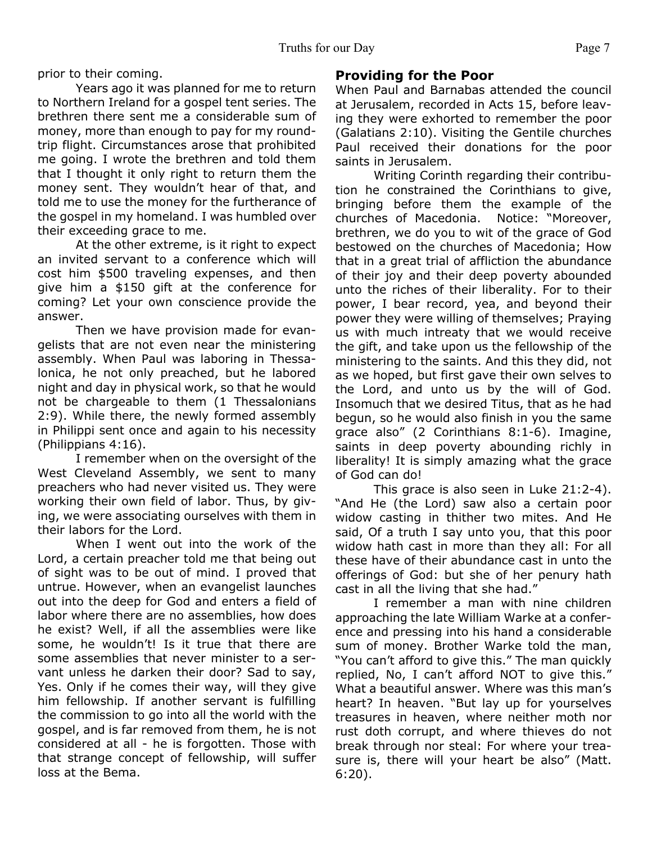prior to their coming.

 Years ago it was planned for me to return to Northern Ireland for a gospel tent series. The brethren there sent me a considerable sum of money, more than enough to pay for my roundtrip flight. Circumstances arose that prohibited me going. I wrote the brethren and told them that I thought it only right to return them the money sent. They wouldn't hear of that, and told me to use the money for the furtherance of the gospel in my homeland. I was humbled over their exceeding grace to me.

 At the other extreme, is it right to expect an invited servant to a conference which will cost him \$500 traveling expenses, and then give him a \$150 gift at the conference for coming? Let your own conscience provide the answer.

 Then we have provision made for evangelists that are not even near the ministering assembly. When Paul was laboring in Thessalonica, he not only preached, but he labored night and day in physical work, so that he would not be chargeable to them (1 Thessalonians 2:9). While there, the newly formed assembly in Philippi sent once and again to his necessity (Philippians 4:16).

 I remember when on the oversight of the West Cleveland Assembly, we sent to many preachers who had never visited us. They were working their own field of labor. Thus, by giving, we were associating ourselves with them in their labors for the Lord.

 When I went out into the work of the Lord, a certain preacher told me that being out of sight was to be out of mind. I proved that untrue. However, when an evangelist launches out into the deep for God and enters a field of labor where there are no assemblies, how does he exist? Well, if all the assemblies were like some, he wouldn't! Is it true that there are some assemblies that never minister to a servant unless he darken their door? Sad to say, Yes. Only if he comes their way, will they give him fellowship. If another servant is fulfilling the commission to go into all the world with the gospel, and is far removed from them, he is not considered at all - he is forgotten. Those with that strange concept of fellowship, will suffer loss at the Bema.

## **Providing for the Poor**

When Paul and Barnabas attended the council at Jerusalem, recorded in Acts 15, before leaving they were exhorted to remember the poor (Galatians 2:10). Visiting the Gentile churches Paul received their donations for the poor saints in Jerusalem.

 Writing Corinth regarding their contribution he constrained the Corinthians to give, bringing before them the example of the churches of Macedonia. Notice: "Moreover, churches of Macedonia. brethren, we do you to wit of the grace of God bestowed on the churches of Macedonia; How that in a great trial of affliction the abundance of their joy and their deep poverty abounded unto the riches of their liberality. For to their power, I bear record, yea, and beyond their power they were willing of themselves; Praying us with much intreaty that we would receive the gift, and take upon us the fellowship of the ministering to the saints. And this they did, not as we hoped, but first gave their own selves to the Lord, and unto us by the will of God. Insomuch that we desired Titus, that as he had begun, so he would also finish in you the same grace also" (2 Corinthians 8:1-6). Imagine, saints in deep poverty abounding richly in liberality! It is simply amazing what the grace of God can do!

 This grace is also seen in Luke 21:2-4). "And He (the Lord) saw also a certain poor widow casting in thither two mites. And He said, Of a truth I say unto you, that this poor widow hath cast in more than they all: For all these have of their abundance cast in unto the offerings of God: but she of her penury hath cast in all the living that she had."

 I remember a man with nine children approaching the late William Warke at a conference and pressing into his hand a considerable sum of money. Brother Warke told the man, "You can't afford to give this." The man quickly replied, No, I can't afford NOT to give this." What a beautiful answer. Where was this man's heart? In heaven. "But lay up for yourselves treasures in heaven, where neither moth nor rust doth corrupt, and where thieves do not break through nor steal: For where your treasure is, there will your heart be also" (Matt. 6:20).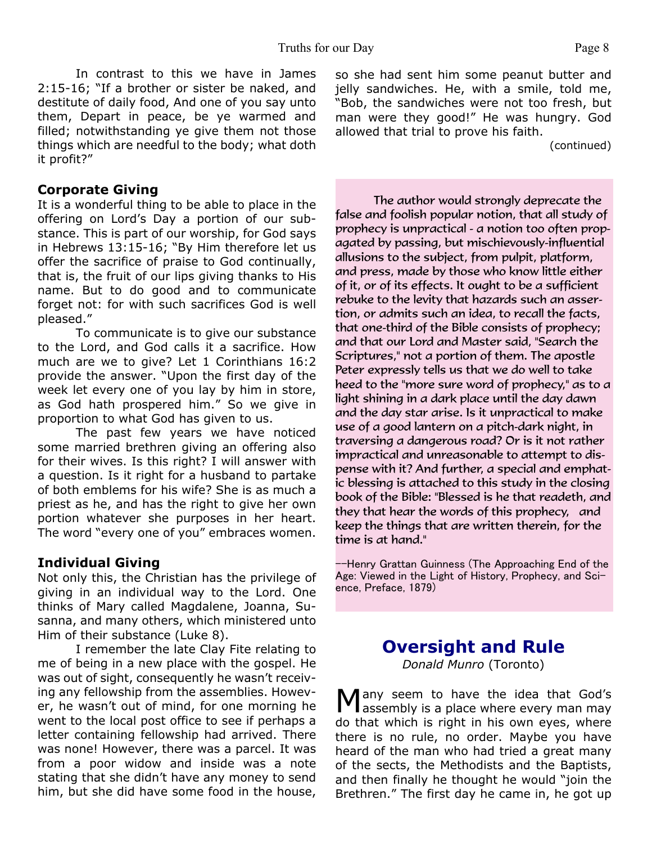In contrast to this we have in James 2:15-16; "If a brother or sister be naked, and destitute of daily food, And one of you say unto them, Depart in peace, be ye warmed and filled; notwithstanding ye give them not those things which are needful to the body; what doth it profit?"

#### **Corporate Giving**

It is a wonderful thing to be able to place in the offering on Lord's Day a portion of our substance. This is part of our worship, for God says in Hebrews 13:15-16; "By Him therefore let us offer the sacrifice of praise to God continually, that is, the fruit of our lips giving thanks to His name. But to do good and to communicate forget not: for with such sacrifices God is well pleased."

 To communicate is to give our substance to the Lord, and God calls it a sacrifice. How much are we to give? Let 1 Corinthians 16:2 provide the answer. "Upon the first day of the week let every one of you lay by him in store, as God hath prospered him." So we give in proportion to what God has given to us.

 The past few years we have noticed some married brethren giving an offering also for their wives. Is this right? I will answer with a question. Is it right for a husband to partake of both emblems for his wife? She is as much a priest as he, and has the right to give her own portion whatever she purposes in her heart. The word "every one of you" embraces women.

#### **Individual Giving**

Not only this, the Christian has the privilege of giving in an individual way to the Lord. One thinks of Mary called Magdalene, Joanna, Susanna, and many others, which ministered unto Him of their substance (Luke 8).

 I remember the late Clay Fite relating to me of being in a new place with the gospel. He was out of sight, consequently he wasn't receiving any fellowship from the assemblies. However, he wasn't out of mind, for one morning he went to the local post office to see if perhaps a letter containing fellowship had arrived. There was none! However, there was a parcel. It was from a poor widow and inside was a note stating that she didn't have any money to send him, but she did have some food in the house,

so she had sent him some peanut butter and jelly sandwiches. He, with a smile, told me, "Bob, the sandwiches were not too fresh, but man were they good!" He was hungry. God allowed that trial to prove his faith.

(continued)

The author would strongly deprecate the false and foolish popular notion, that all study of prophecy is unpractical - a notion too often propagated by passing, but mischievously-influential allusions to the subject, from pulpit, platform, and press, made by those who know little either of it, or of its effects. It ought to be a sufficient rebuke to the levity that hazards such an assertion, or admits such an idea, to recall the facts, that one-third of the Bible consists of prophecy; and that our Lord and Master said, "Search the Scriptures," not a portion of them. The apostle Peter expressly tells us that we do well to take heed to the "more sure word of prophecy," as to a light shining in a dark place until the day dawn and the day star arise. Is it unpractical to make use of a good lantern on a pitch-dark night, in traversing a dangerous road? Or is it not rather impractical and unreasonable to attempt to dispense with it? And further, a special and emphatic blessing is attached to this study in the closing book of the Bible: "Blessed is he that readeth, and they that hear the words of this prophecy, and keep the things that are written therein, for the time is at hand."

--Henry Grattan Guinness (The Approaching End of the Age: Viewed in the Light of History, Prophecy, and Science, Preface, 1879)

# **Oversight and Rule**

*Donald Munro* (Toronto)

Many seem to have the idea that God's<br>
Massembly is a place where every man may **l** assembly is a place where every man may do that which is right in his own eyes, where there is no rule, no order. Maybe you have heard of the man who had tried a great many of the sects, the Methodists and the Baptists, and then finally he thought he would "join the Brethren." The first day he came in, he got up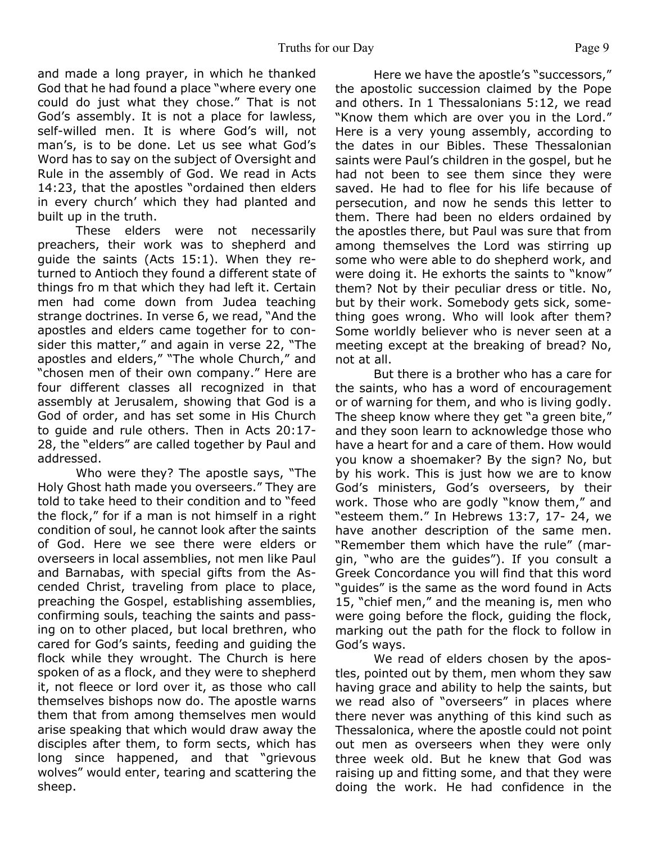and made a long prayer, in which he thanked God that he had found a place "where every one could do just what they chose." That is not God's assembly. It is not a place for lawless, self-willed men. It is where God's will, not man's, is to be done. Let us see what God's Word has to say on the subject of Oversight and Rule in the assembly of God. We read in Acts 14:23, that the apostles "ordained then elders in every church' which they had planted and built up in the truth.

 These elders were not necessarily preachers, their work was to shepherd and guide the saints (Acts 15:1). When they returned to Antioch they found a different state of things fro m that which they had left it. Certain men had come down from Judea teaching strange doctrines. In verse 6, we read, "And the apostles and elders came together for to consider this matter," and again in verse 22, "The apostles and elders," "The whole Church," and "chosen men of their own company." Here are four different classes all recognized in that assembly at Jerusalem, showing that God is a God of order, and has set some in His Church to guide and rule others. Then in Acts 20:17- 28, the "elders" are called together by Paul and addressed.

 Who were they? The apostle says, "The Holy Ghost hath made you overseers." They are told to take heed to their condition and to "feed the flock," for if a man is not himself in a right condition of soul, he cannot look after the saints of God. Here we see there were elders or overseers in local assemblies, not men like Paul and Barnabas, with special gifts from the Ascended Christ, traveling from place to place, preaching the Gospel, establishing assemblies, confirming souls, teaching the saints and passing on to other placed, but local brethren, who cared for God's saints, feeding and guiding the flock while they wrought. The Church is here spoken of as a flock, and they were to shepherd it, not fleece or lord over it, as those who call themselves bishops now do. The apostle warns them that from among themselves men would arise speaking that which would draw away the disciples after them, to form sects, which has long since happened, and that "grievous wolves" would enter, tearing and scattering the sheep.

 Here we have the apostle's "successors," the apostolic succession claimed by the Pope and others. In 1 Thessalonians 5:12, we read "Know them which are over you in the Lord." Here is a very young assembly, according to the dates in our Bibles. These Thessalonian saints were Paul's children in the gospel, but he had not been to see them since they were saved. He had to flee for his life because of persecution, and now he sends this letter to them. There had been no elders ordained by the apostles there, but Paul was sure that from among themselves the Lord was stirring up some who were able to do shepherd work, and were doing it. He exhorts the saints to "know" them? Not by their peculiar dress or title. No, but by their work. Somebody gets sick, something goes wrong. Who will look after them? Some worldly believer who is never seen at a meeting except at the breaking of bread? No, not at all.

 But there is a brother who has a care for the saints, who has a word of encouragement or of warning for them, and who is living godly. The sheep know where they get "a green bite," and they soon learn to acknowledge those who have a heart for and a care of them. How would you know a shoemaker? By the sign? No, but by his work. This is just how we are to know God's ministers, God's overseers, by their work. Those who are godly "know them," and "esteem them." In Hebrews 13:7, 17- 24, we have another description of the same men. "Remember them which have the rule" (margin, "who are the guides"). If you consult a Greek Concordance you will find that this word "guides" is the same as the word found in Acts 15, "chief men," and the meaning is, men who were going before the flock, guiding the flock, marking out the path for the flock to follow in God's ways.

 We read of elders chosen by the apostles, pointed out by them, men whom they saw having grace and ability to help the saints, but we read also of "overseers" in places where there never was anything of this kind such as Thessalonica, where the apostle could not point out men as overseers when they were only three week old. But he knew that God was raising up and fitting some, and that they were doing the work. He had confidence in the